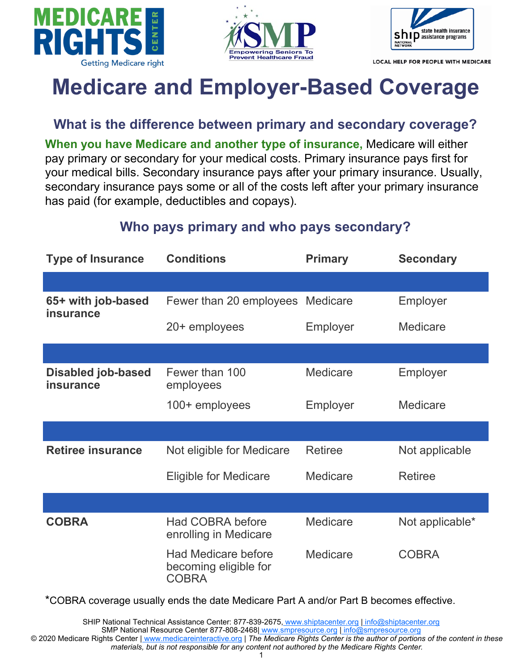





LOCAL HELP FOR PEOPLE WITH MEDICARE

# **Medicare and Employer-Based Coverage**

**What is the difference between primary and secondary coverage?**

**When you have Medicare and another type of insurance,** Medicare will either pay primary or secondary for your medical costs. Primary insurance pays first for your medical bills. Secondary insurance pays after your primary insurance. Usually, secondary insurance pays some or all of the costs left after your primary insurance has paid (for example, deductibles and copays).

### **Who pays primary and who pays secondary?**

| <b>Type of Insurance</b>                      | <b>Conditions</b>                                                   | <b>Primary</b>  | <b>Secondary</b> |
|-----------------------------------------------|---------------------------------------------------------------------|-----------------|------------------|
|                                               |                                                                     |                 |                  |
| 65+ with job-based<br><b>insurance</b>        | Fewer than 20 employees                                             | <b>Medicare</b> | Employer         |
|                                               | 20+ employees                                                       | Employer        | <b>Medicare</b>  |
|                                               |                                                                     |                 |                  |
| <b>Disabled job-based</b><br><b>insurance</b> | Fewer than 100<br>employees                                         | <b>Medicare</b> | Employer         |
|                                               | 100+ employees                                                      | Employer        | Medicare         |
|                                               |                                                                     |                 |                  |
| <b>Retiree insurance</b>                      | Not eligible for Medicare                                           | <b>Retiree</b>  | Not applicable   |
|                                               | <b>Eligible for Medicare</b>                                        | <b>Medicare</b> | <b>Retiree</b>   |
|                                               |                                                                     |                 |                  |
| <b>COBRA</b>                                  | <b>Had COBRA before</b><br>enrolling in Medicare                    | Medicare        | Not applicable*  |
|                                               | <b>Had Medicare before</b><br>becoming eligible for<br><b>COBRA</b> | Medicare        | <b>COBRA</b>     |

\*COBRA coverage usually ends the date Medicare Part A and/or Part B becomes effective.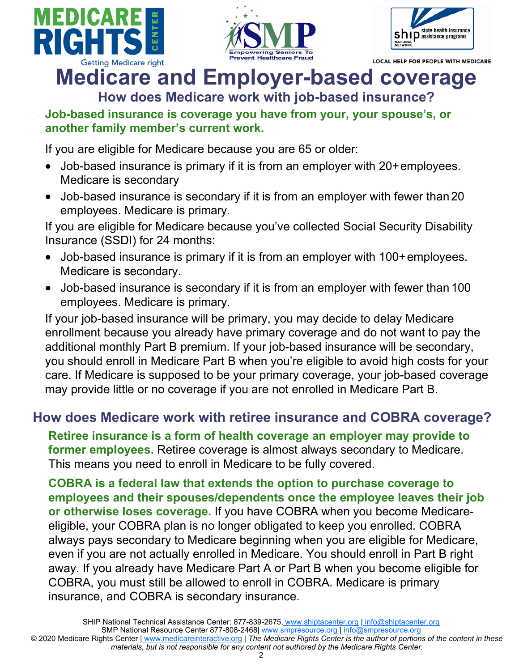





**LOCAL HELP FOR PEOPLE WITH MEDICARE** 

## **Medicare and Employer-based coverage How does Medicare work with job-based insurance?**

#### **Job-based insurance is coverage you have from your, your spouse's, or another family member's current work.**

If you are eligible for Medicare because you are 65 or older:

- Job-based insurance is primary if it is from an employer with 20+employees. Medicare is secondary
- Job-based insurance is secondary if it is from an employer with fewer than 20 employees. Medicare is primary.

If you are eligible for Medicare because you've collected Social Security Disability Insurance (SSDI) for 24 months:

- Job-based insurance is primary if it is from an employer with 100+employees. Medicare is secondary.
- Job-based insurance is secondary if it is from an employer with fewer than 100 employees. Medicare is primary.

If your job-based insurance will be primary, you may decide to delay Medicare enrollment because you already have primary coverage and do not want to pay the additional monthly Part B premium. If your job-based insurance will be secondary, you should enroll in Medicare Part B when you're eligible to avoid high costs for your care. If Medicare is supposed to be your primary coverage, your job-based coverage may provide little or no coverage if you are not enrolled in Medicare Part B.

### **How does Medicare work with retiree insurance and COBRA coverage?**

**Retiree insurance is a form of health coverage an employer may provide to former employees.** Retiree coverage is almost always secondary to Medicare. This means you need to enroll in Medicare to be fully covered.

**COBRA is a federal law that extends the option to purchase coverage to employees and their spouses/dependents once the employee leaves their job or otherwise loses coverage.** If you have COBRA when you become Medicareeligible, your COBRA plan is no longer obligated to keep you enrolled. COBRA always pays secondary to Medicare beginning when you are eligible for Medicare, even if you are not actually enrolled in Medicare. You should enroll in Part B right away. If you already have Medicare Part A or Part B when you become eligible for COBRA, you must still be allowed to enroll in COBRA. Medicare is primary insurance, and COBRA is secondary insurance.